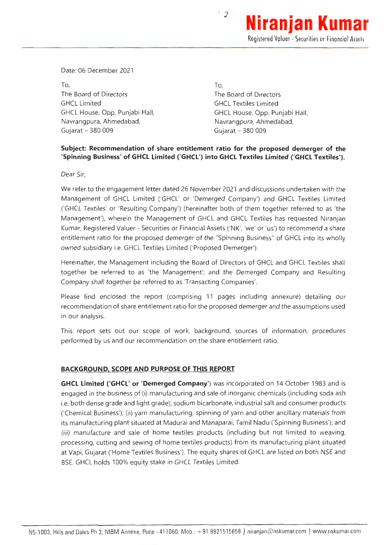

Date: 06 December 2021

To, The Board of Directors GHCL Limited GHCL House, Opp. Punjabi Hall, Navrangpura, Ahmedabad, Gujarat -- 380 009

To,

The Board of Directors GHCL Textiles Limited GHCL House, Opp. Punjabi Hall, Navrangpura, Ahmedabad, Gujarat - 380 009

### **Subject: Recommendation of share entitlement ratio for the proposed demerger of the 'Spinning Business' of GHCL Limited ('GHCL') into GHCL Textiles Limited ('GHCL Textiles').**

Dear Sir,

We refer to the engagement letter dated 26 November 2021 and discussions undertaken with the Management of GHCL Limited ('GHCL' or 'Demerged Company') and GHCL Textiles Limited ('GHCL Textiles' or 'Resulting Company') (hereinafter both of them together referred to as 'the Management'), wherein the Management of GHCL and GHCL Textiles has requested Niranjan Kumar, Registered Valuer - Securities or Financial Assets (' NK', 'we' or 'us') to recommend a share entitlement ratio for the proposed demerger of the "Spinning Business" of GHCL into its wholly owned subsidiary i.e. GHCL Textiles Limited ('Proposed Demerger').

Hereinafter, the Management including the Board of Directors of GHCL and GHCL Textiles shall together be referred to as 'the Management'; and the Demerged Company and Resulting Company shall together be referred to as 'Transacting Companies'.

Please find enclosed the report (comprising 11 pages including annexure) detailing our recommendation of share entitlement ratio for the proposed demerger and the assumptions used in our analysis.

This report sets out our scope of work, background, sources of information, procedures performed by us and our recommendation on the share entitlement ratio.

#### **BACKGROUND. SCOPE AND PURPOSE OF THIS REPORT**

**GHCL Limited ('GHCL' or 'Demerged Company')** was incorporated on 14 October 1983 and is engaged in the business of (i) manufacturing and sale of inorganic chemicals (including soda ash i.e. both dense grade and light grade); sodium bicarbonate, industrial salt and consumer products ('Chemical Business'); (ii) yarn manufacturing, spinning of yarn and other ancillary materials from its manufacturing plant situated at Madurai and Manaparai, Tamil Nadu ('Spinning Business'); and (iii) manufacture and sale of home textiles products (including but not limited to weaving, processing, cutting and sewing of home textiles products) from its manufacturing plant situated at Vapi, Gujarat ('Home Textiles Business'). The equity shares of GHCL are listed on both NSE and BSE. GHCL holds 100% equity stake in GHCL Textiles Limited.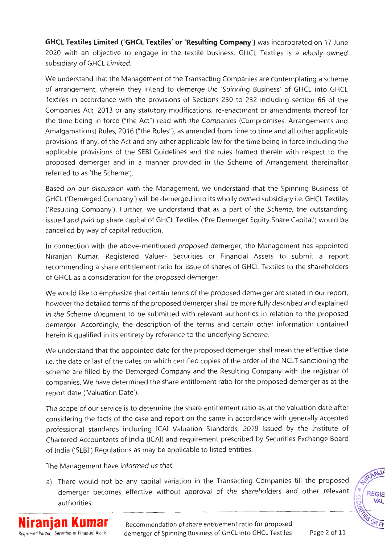**GHCL Textiles Limited ('GHCL Textiles' or 'Resulting Company')** was incorporated on 17 June 2020 with an objective to engage in the textile business. GHCL Textiles is a wholly owned subsidiary of GHCL Limited.

We understand that the Management of the Transacting Companies are contemplating a scheme of arrangement, wherein they intend to demerge the 'Spinning Business' of GHCL into GHCL Textiles in accordance with the provisions of Sections 230 to 232 including section 66 of the Companies Act, 2013 or any statutory modifications, re-enactment or amendments thereof for the time being in force ("the Act") read with the Companies (Compromises, Arrangements and Amalgamations) Rules, 2016 ("the Rules"), as amended from time to time and all other applicable provisions, if any, of the Act and any other applicable law for the time being in force including the applicable provisions of the SEBI Guidelines and the rules framed therein with respect to the proposed demerger and in a manner provided in the Scheme of Arrangement (hereinafter referred to as 'the Scheme').

Based on our discussion with the Management, we understand that the Spinning Business of GHCL ('Demerged Company') will be demerged into its wholly owned subsidiary i.e. GHCL Textiles ('Resulting Company'). Further, we understand that as a part of the Scheme, the outstanding issued and paid up share capital of GHCL Textiles ('Pre Demerger Equity Share Capital') would be cancelled by way of capital reduction.

In connection with the above-mentioned proposed demerger, the Management has appointed Niranjan Kumar, Registered Valuer- Securities or Financial Assets to submit a report recommending a share entitlement ratio for issue of shares of GHCL Textiles to the shareholders of GHCL as a consideration for the proposed demerger.

We would like to emphasize that certain terms of the proposed demerger are stated in our report, however the detailed terms of the proposed demerger shall be more fully described and explained in the Scheme document to be submitted with relevant authorities in relation to the proposed demerger. Accordingly, the description of the terms and certain other information contained herein is qualified in its entirety by reference to the underlying Scheme.

We understand that the appointed date for the proposed demerger shall mean the effective date i.e. the date or last of the dates on which certified copies of the order of the NCLT sanctioning the scheme are filled by the Demerged Company and the Resulting Company with the registrar of companies. We have determined the share entitlement ratio for the proposed demerger as at the report date ('Valuation Date').

The scope of our service is to determine the share entitlement ratio as at the valuation date after considering the facts of the case and report on the same in accordance with generally accepted professional standards including ICAI Valuation Standards, 2018 issued by the Institute of Chartered Accountants of India (ICAI) and requirement prescribed by Securities Exchange Board of India ('SEBI') Regulations as may be applicable to listed entities.

The Management have informed us that:

**Niranjan Kumar** 

Registered Valuer Securities or Financial Assets

a) There would not be any capital variation in the Transacting Companies till the proposed demerger becomes effective without approval of the shareholders and other relevant authorities;



Recommendation of share entitlement ratio for proposed demerger of Spinning Business of GHCL into GHCL Textiles Page 2 of 11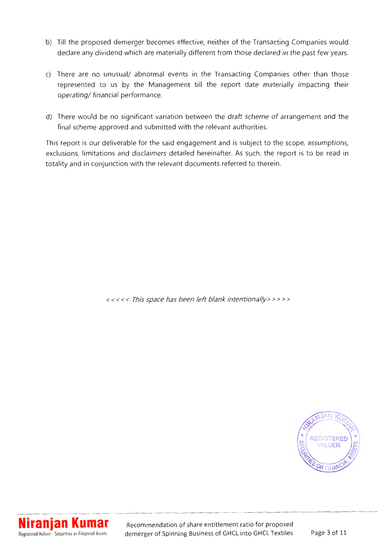- b) Till the proposed demerger becomes effective, neither of the Transacting Companies would declare any dividend which are materially different from those declared in the past few years.
- c) There are no unusual/ abnormal events in the Transacting Companies other than those represented to us by the Management till the report date materially impacting their operating/ financial performance.
- d) There would be no significant variation between the draft scheme of arrangement and the final scheme approved and submitted with the relevant authorities.

This report is our deliverable for the said engagement and is subject to the scope, assumptions, exclusions, limitations and disclaimers detailed hereinafter. As such, the report is to be read in totality and in conjunction with the relevant documents referred to therein.

< < < < < This space has been left blank intentionally>>>>>



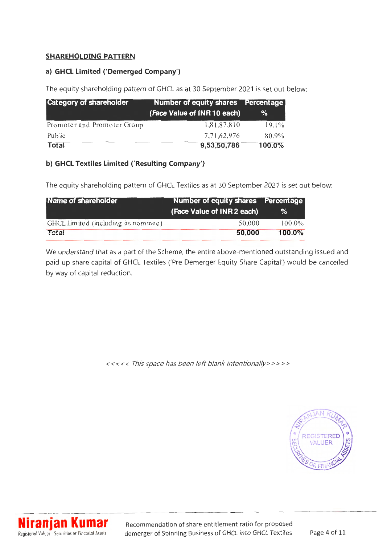## **SHAREHOLDING PATTERN**

# **a) GHCL Limited ('Demerged Company')**

The equity shareholding pattern of GHCL as at 30 September 2021 is set out below:

| <b>Category of shareholder</b> | Number of equity shares Percentage |           |  |
|--------------------------------|------------------------------------|-----------|--|
|                                | (Face Value of INR 10 each)        | %         |  |
| Promoter and Promoter Group    | 1,81,87,810                        | $19.1\%$  |  |
| Public                         | 7, 71, 62, 976                     | 80.9%     |  |
| Total                          | 9,53,50,786                        | $100.0\%$ |  |

# **b) GHCL Textiles Limited ('Resulting Company')**

The equity shareholding pattern of GHCL Textiles as at 30 September 2021 is set out below:

| Name of shareholder                  | Number of equity shares Percentage |           |  |
|--------------------------------------|------------------------------------|-----------|--|
|                                      | (Face Value of INR 2 each)         | $\%$      |  |
| GHCL Limited (including its nominec) | 50.000                             | $100.0\%$ |  |
| Total                                | 50,000                             | $100.0\%$ |  |

We understand that as a part of the Scheme, the entire above-mentioned outstanding issued and paid up share capital of GHCL Textiles ('Pre Demerger Equity Share Capital') would be cancelled by way of capital reduction.

<<<<< This space has been left blank intentionally>>>>>





Recommendation of share entitlement ratio for proposed demerger of Spinning Business of GHCL into GHCL Textiles Page 4 of 11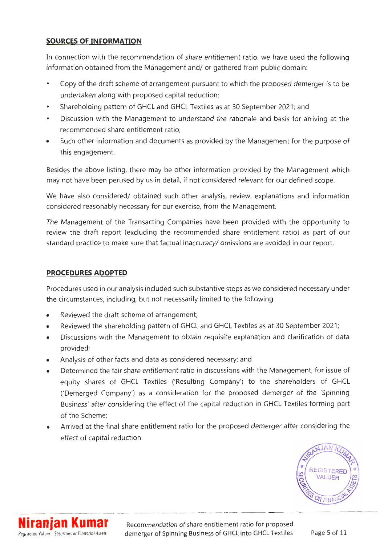# **SOURCES OF INFORMATION**

In connection with the recommendation of share entitlement ratio, we have used the following information obtained from the Management and/ or gathered from public domain:

- Copy of the draft scheme of arrangement pursuant to which the proposed demerger is to be undertaken along with proposed capital reduction;
- Shareholding pattern of GHCL and GHCL Textiles as at 30 September 2021; and
- Discussion with the Management to understand the rationale and basis for arriving at the  $\bullet$ recommended share entitlement ratio;
- Such other information and documents as provided by the Management for the purpose of this engagement.

Besides the above listing, there may be other information provided by the Management which may not have been perused by us in detail, if not considered relevant for our defined scope.

We have also considered/ obtained such other analysis, review, explanations and information considered reasonably necessary for our exercise, from the Management.

The Management of the Transacting Companies have been provided with the opportunity to review the draft report (excluding the recommended share entitlement ratio) as part of our standard practice to make sure that factual inaccuracy/ omissions are avoided in our report.

# **PROCEDURES ADOPTED**

Procedures used in our analysis included such substantive steps as we considered necessary under the circumstances, including, but not necessarily limited to the following:

- Reviewed the draft scheme of arrangement;
- Reviewed the shareholding pattern of GHCL and GHCL Textiles as at 30 September 2021;
- Discussions with the Management to obtain requisite explanation and clarification of data provided;
- Analysis of other facts and data as considered necessary; and
- Determined the fair share entitlement ratio in discussions with the Management, for issue of equity shares of GHCL Textiles ('Resulting Company') to the shareholders of GHCL ('Demerged Company') as a consideration for the proposed demerger of the 'Spinning Business' after considering the effect of the capital reduction in GHCL Textiles forming part of the Scheme;
- Arrived at the final share entitlement ratio for the proposed demerger after considering the effect of capital reduction.



**Niranjan Kumar**  Registered Valuer -Securities or Financial Assets

Recommendation of share entitlement ratio for proposed demerger of Spinning Business of GHCL into GHCL Textiles Page 5 of 11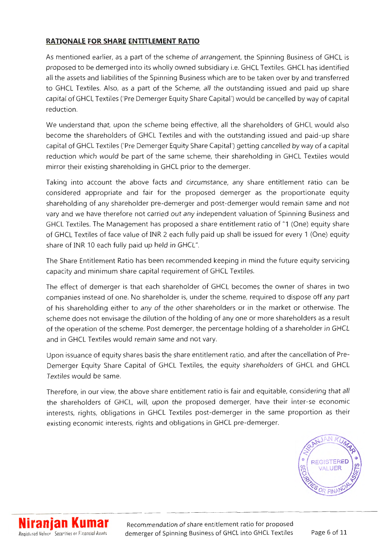# **RATIONALE FOR SHARE ENTITLEMENT RATIO**

As mentioned earlier, as a part of the scheme of arrangement, the Spinning Business of GHCL is proposed to be demerged into its wholly owned subsidiary i.e. GHCL Textiles. GHCL has identified all the assets and liabilities of the Spinning Business which are to be taken over by and transferred to GHCL Textiles. Also, as a part of the Scheme, all the outstanding issued and paid up share capital of GHCL Textiles ('Pre Demerger Equity Share Capital') would be cancelled by way of capital reduction.

We understand that, upon the scheme being effective, all the shareholders of GHCL would also become the shareholders of GHCL Textiles and with the outstanding issued and paid-up share capital of GHCL Textiles ('Pre Demerger Equity Share Capital ') getting cancelled by way of a capital reduction which would be part of the same scheme, their shareholding in GHCL Textiles would mirror their existing shareholding in GHCL prior to the demerger.

Taking into account the above facts and circumstance, any share entitlement ratio can be considered appropriate and fair for the proposed demerger as the proportionate equity shareholding of any shareholder pre-demerger and post-demerger would remain same and not vary and we have therefore not carried out any independent valuation of Spinning Business and GHCL Textiles. The Management has proposed a share entitlement ratio of "1 (One) equity share of GHCL Textiles of face value of INR 2 each fully paid up shall be issued for every 1 (One) equity share of INR 10 each fully paid up held in GHCL".

The Share Entitlement Ratio has been recommended keeping in mind the future equity servicing capacity and minimum share capital requirement of GHCL Textiles.

The effect of demerger is that each shareholder of GHCL becomes the owner of shares in two companies instead of one. No shareholder is, under the scheme, required to dispose off any part of his shareholding either to any of the other shareholders or in the market or otherwise. The scheme does not envisage the dilution of the holding of any one or more shareholders as a result of the operation of the scheme. Post demerger, the percentage holding of a shareholder in GHCL and in GHCL Textiles would remain same and not vary.

Upon issuance of equity shares basis the share entitlement ratio, and after the cancellation of Pre-Demerger Equity Share Capital of GHCL Textiles, the equity shareholders of GHCL and GHCL Textiles would be same.

Therefore, in our view, the above share entitlement ratio is fair and equitable, considering that all the shareholders of GHCL, will, upon the proposed demerger, have their inter-se economic interests, rights, obligations in GHCL Textiles post-demerger in the same proportion as their existing economic interests, rights and obligations in GHCL pre-demerger.



**Niranjan Kumar**  Registered Valuer - Securities or Financial Assets

Recommendation of share entitlement ratio for proposed demerger of Spinning Business of GHCL into GHCL Textiles Page 6 of 11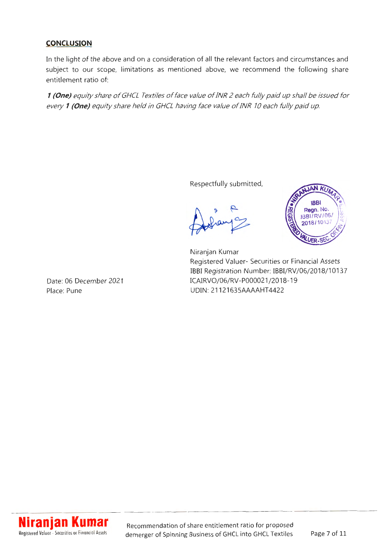# **CONCLUSION**

In the light of the above and on a consideration of all the relevant factors and circumstances and subject to our scope, limitations as mentioned above, we recommend the following share entitlement ratio of:

**1 {One)** equity share of GHCL Texttles of face value of INR 2 each fully paid up shall be issued for evety **1 {One)** equity share held in GHCL having face value of INR 10 each fully paid up.

Respectfully submitted,



Niranjan Kumar Registered Valuer- Securities or Financial Assets IBBI Registration Number: IBBI/RV/06/2018/10137 ICAIRV0/06/RV-P000021/2018-19 UDIN: 21121635AAAAHT4422

Date: 06 December 2021 Place: Pune

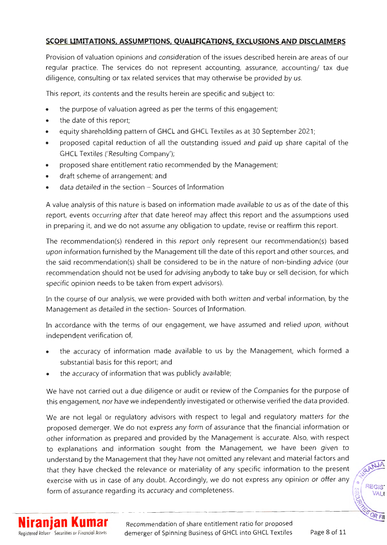# **SCOPE LIMITATIONS. ASSUMPTIONS, QUALIFICATIONS, EXCLUSIONS AND DISCLAIMERS**

Provision of valuation opinions and consideration of the issues described herein are areas of our regular practice. The services do not represent accounting, assurance, accounting/ tax due diligence, consulting or tax related services that may otherwise be provided by us.

This report, its contents and the results herein are specific and subject to:

- the purpose of valuation agreed as per the terms of this engagement;
- the date of this report;

**Niranjan Kumar**  Registered Valuer -Securities or Financial Assets

- equity shareholding pattern of GHCL and GHCL Textiles as at 30 September 2021;
- proposed capital reduction of all the outstanding issued and paid up share capital of the GHCL Textiles ('Resulting Company');
- proposed share entitlement ratio recommended by the Management;
- draft scheme of arrangement; and
- data detailed in the section Sources of Information

A value analysis of this nature is based on information made available to us as of the date of this report, events occurring after that date hereof may affect this report and the assumptions used in preparing it, and we do not assume any obligation to update, revise or reaffirm this report.

The recommendation(s) rendered in this report only represent our recommendation(s) based upon information furnished by the Management till the date of this report and other sources, and the said recommendation(s) shall be considered to be in the nature of non-binding advice (our recommendation should not be used for advising anybody to take buy or sell decision, for which specific opinion needs to be taken from expert advisors).

In the course of our analysis, we were provided with both written and verbal information, by the Management as detailed in the section- Sources of Information.

In accordance with the terms of our engagement, we have assumed and relied upon, without independent verification of,

- the accuracy of information made available to us by the Management, which formed a substantial basis for this report; and
- the accuracy of information that was publicly available;

We have not carried out a due diligence or audit or review of the Companies for the purpose of this engagement, nor have we independently investigated or otherwise verified the data provided.

We are not legal or regulatory advisors with respect to legal and regulatory matters for the proposed demerger. We do not express any form of assurance that the financial information or other information as prepared and provided by the Management is accurate. Also, with respect to explanations and information sought from the Management, we have been given to understand by the Management that they have not omitted any relevant and material factors and that they have checked the relevance or materiality of any specific information to the present exercise with us in case of any doubt. Accordingly, we do not express any opinion or offer any  $\frac{1}{\sqrt{2}}$  REGIS: form of assurance regarding its accuracy and completeness.  $\mathbb{R}$ 

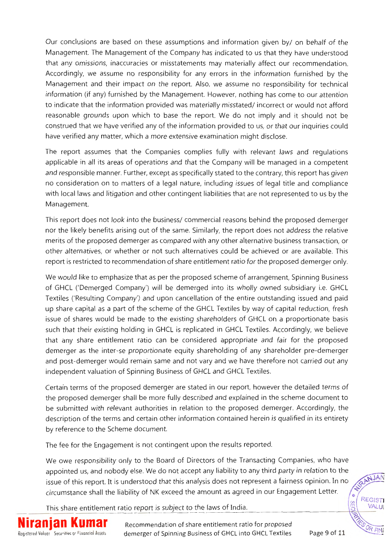Our conclusions are based on these assumptions and information given by/ on behalf of the Management. The Management of the Company has indicated to us that they have understood that any omissions, inaccuracies or misstatements may materially affect our recommendation. Accordingly, we assume no responsibility for any errors in the information furnished by the Management and their impact on the report. Also, we assume no responsibility for technical information (if any) furnished by the Management. However, nothing has come to our attention to indicate that the information provided was materially misstated/ incorrect or would not afford reasonable grounds upon which to base the report. We do not imply and it should not be construed that we have verified any of the information provided to us, or that our inquiries could have verified any matter, which a more extensive examination might disclose.

The report assumes that the Companies complies fully with relevant laws and regulations applicable in all its areas of operations and that the Company will be managed in a competent and responsible manner. Further, except as specifically stated to the contrary, this report has given no consideration on to matters of a legal nature, including issues of legal title and compliance with local laws and litigation and other contingent liabilities that are not represented to us by the Management.

This report does not look into the business/ commercial reasons behind the proposed demerger nor the likely benefits arising out of the same. Similarly, the report does not address the relative merits of the proposed demerger as compared with any other alternative business transaction, or other alternatives, or whether or not such alternatives could be achieved or are available. This report is restricted to recommendation of share entitlement ratio for the proposed demerger only.

We would like to emphasize that as per the proposed scheme of arrangement, Spinning Business of GHCL ('Demerged Company') will be demerged into its wholly owned subsidiary i.e. GHCL Textiles ('Resulting Company') and upon cancellation of the entire outstanding issued and paid up share capital as a part of the scheme of the GHCL Textiles by way of capital reduction, fresh issue of shares would be made to the existing shareholders of GHCL on a proportionate basis such that their existing holding in GHCL is replicated in GHCL Textiles. Accordingly, we believe that any share entitlement ratio can be considered appropriate and fair for the proposed demerger as the inter-se proportionate equity shareholding of any shareholder pre-demerger and post-demerger would remain same and not vary and we have therefore not carried out any independent valuation of Spinning Business of GHCL and GHCL Textiles.

Certain terms of the proposed demerger are stated in our report, however the detailed terms of the proposed demerger shall be more fully described and explained in the scheme document to be submitted with relevant authorities in relation to the proposed demerger. Accordingly, the description of the terms and certain other information contained herein is qualified in its entirety by reference to the Scheme document.

The fee for the Engagement is not contingent upon the results reported.

We owe responsibility only to the Board of Directors of the Transacting Companies, who have appointed us, and nobody else. We do not accept any liability to any third party in relation to the issue of this report. It is understood that this analysis does not represent a fairness opinion. Ir no circumstance shall the liability of NK exceed the amount as agreed in our Engagement Letter. ö

This share entitlement ratio report is subject to the laws of India.

**Niranjan Kumar**  Registered Valuer -Securities or Financial Assets

Recommendation of share entitlement ratio for proposed demerger of Spinning Business of GHCL into GHCL Textiles Page 9 of 11 EPANJAN

**REGIST VALU** 

OR FIN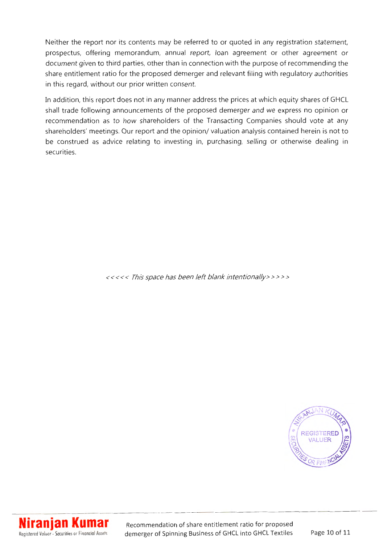Neither the report nor its contents may be referred to or quoted in any registration statement, prospectus, offering memorandum, annual report, loan agreement or other agreement or document given to third parties, other than in connection with the purpose of recommending the share entitlement ratio for the proposed demerger and relevant filing with regulatory authorities in this regard, without our prior written consent.

In addition, this report does not in any manner address the prices at which equity shares of GHCL shall trade following announcements of the proposed demerger and we express no opinion or recommendation as to how shareholders of the Transacting Companies should vote at any shareholders' meetings. Our report and the opinion/ valuation analysis contained herein is not to be construed as advice relating to investing in, purchasing, selling or otherwise dealing in securities.

<<<<< This space has been left blank intentionally>>>>>





Recommendation of share entitlement ratio for proposed demerger of Spinning Business of GHCL into GHCL Textiles Page 10 of 11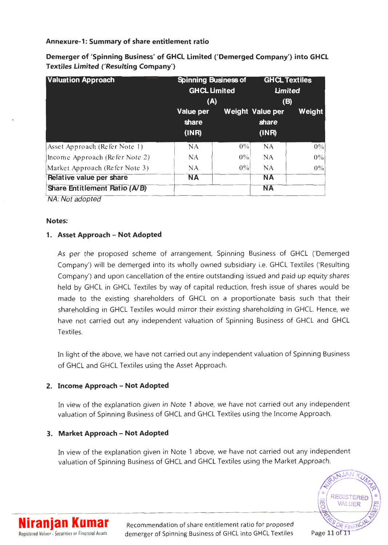## **Annexure-1 : Summary of share entitlement ratio**

**Demerger of 'Spinning Business' of GHCL Limited ('Demerged Company') into GHCL Textiles Limited ('Resulting Company')** 

| <b>Valuation Approach</b>       | <b>Spinning Business of</b><br><b>GHCL Limited</b><br>(A) |       | <b>GHCL Textiles</b><br><b>Limited</b><br>(B) |        |
|---------------------------------|-----------------------------------------------------------|-------|-----------------------------------------------|--------|
|                                 |                                                           |       |                                               |        |
|                                 |                                                           |       |                                               |        |
|                                 | Value per                                                 |       | <b>Weight Value per</b>                       | Weight |
|                                 | share                                                     |       | share                                         |        |
|                                 | (INR)                                                     |       | (INR)                                         |        |
| Asset Approach (Refer Note 1)   | NA                                                        | $0\%$ | NA.                                           | 0%     |
| Income Approach (Refer Note 2)  | NA                                                        | $0\%$ | NA.                                           | 0%     |
| Market Approach (Refer Note 3)  | NA                                                        | $0\%$ | <b>NA</b>                                     | $0\%$  |
| <b>Relative value per share</b> | <b>NA</b>                                                 |       | <b>NA</b>                                     |        |
| Share Entitlement Ratio (A/B)   |                                                           |       | <b>NA</b>                                     |        |
|                                 |                                                           |       |                                               |        |

NA: Not adopted

### **Notes:**

## **1. Asset Approach - Not Adopted**

As per the proposed scheme of arrangement, Spinning Business of GHCL ('Demerged Company') will be demerged into its wholly owned subsidiary i.e. GHCL Textiles ('Resulting Company') and upon cancellation of the entire outstanding issued and paid up equity shares held by GHCL in GHCL Textiles by way of capital reduction, fresh issue of shares would be made to the existing shareholders of GHCL on a proportionate basis such that their shareholding in GHCL Textiles would mirror their existing shareholding in GHCL. Hence, we have not carried out any independent valuation of Spinning Business of GHCL and GHCL Textiles.

In light of the above, we have not carried out any independent valuation of Spinning Business of GHCL and GHCL Textiles using the Asset Approach.

# **2. Income Approach - Not Adopted**

In view of the explanation given in Note 1 above, we have not carried out any independent valuation of Spinning Business of GHCL and GHCL Textiles using the Income Approach.

### **3. Market Approach - Not Adopted**

In view of the explanation given in Note 1 above, we have not carried out any independent valuation of Spinning Business of GHCL and GHCL Textiles using the Market Approach.





Recommendation of share entitlement ratio for proposed demerger of Spinning Business of GHCL into GHCL Textiles